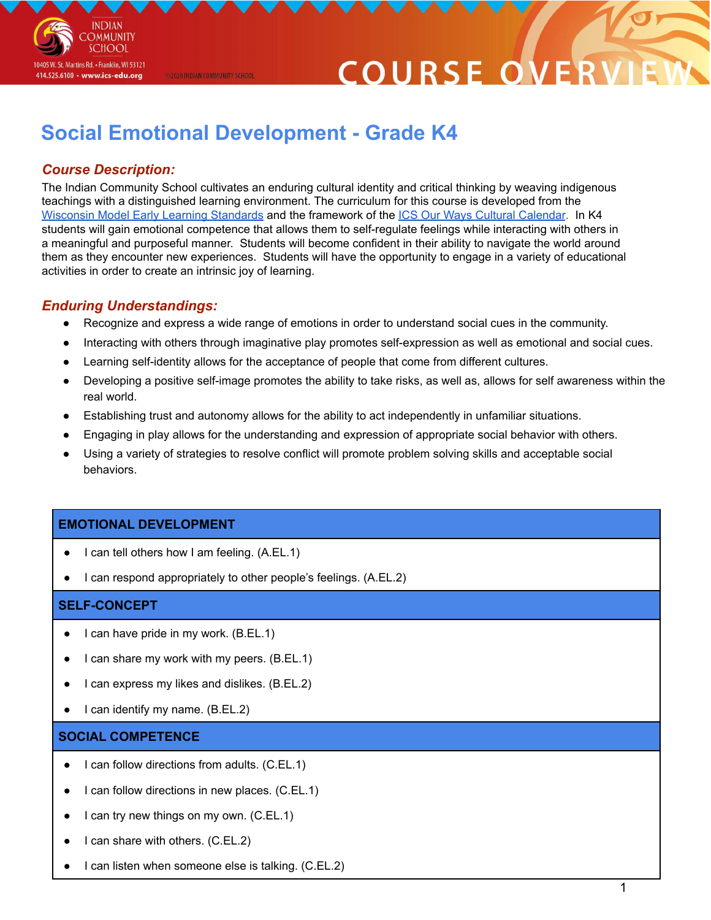

# COURSE O

## **Social Emotional Development - Grade K4**

@2020 INDIAN COMMUNITY SCHOOL

### *Course Description:*

The Indian Community School cultivates an enduring cultural identity and critical thinking by weaving indigenous teachings with a distinguished learning environment. The curriculum for this course is developed from the [Wisconsin](https://dpi.wi.gov/sites/default/files/imce/early-childhood/pdf/wmels_5thedition.pdf) Model Early Learning Standards and the framework of the ICS Our Ways Cultural [Calendar](https://drive.google.com/open?id=0B7pONXiRIufTT3VHOXBBeG9USHMzbDNIUi1nV0NTbURCMFRZ). In K4 students will gain emotional competence that allows them to self-regulate feelings while interacting with others in a meaningful and purposeful manner. Students will become confident in their ability to navigate the world around them as they encounter new experiences. Students will have the opportunity to engage in a variety of educational activities in order to create an intrinsic joy of learning.

#### *Enduring Understandings:*

- Recognize and express a wide range of emotions in order to understand social cues in the community.
- Interacting with others through imaginative play promotes self-expression as well as emotional and social cues.
- Learning self-identity allows for the acceptance of people that come from different cultures.
- Developing a positive self-image promotes the ability to take risks, as well as, allows for self awareness within the real world.
- Establishing trust and autonomy allows for the ability to act independently in unfamiliar situations.
- Engaging in play allows for the understanding and expression of appropriate social behavior with others.
- Using a variety of strategies to resolve conflict will promote problem solving skills and acceptable social behaviors.

#### **EMOTIONAL DEVELOPMENT**

- I can tell others how I am feeling. (A.EL.1)
- I can respond appropriately to other people's feelings. (A.EL.2)

#### **SELF-CONCEPT**

- I can have pride in my work. (B.EL.1)
- I can share my work with my peers. (B.EL.1)
- I can express my likes and dislikes. (B.EL.2)
- I can identify my name. (B.EL.2)

#### **SOCIAL COMPETENCE**

- I can follow directions from adults. (C.EL.1)
- I can follow directions in new places.  $(C.EL.1)$
- I can try new things on my own. (C.EL.1)
- I can share with others. (C.EL.2)
- I can listen when someone else is talking. (C.EL.2)